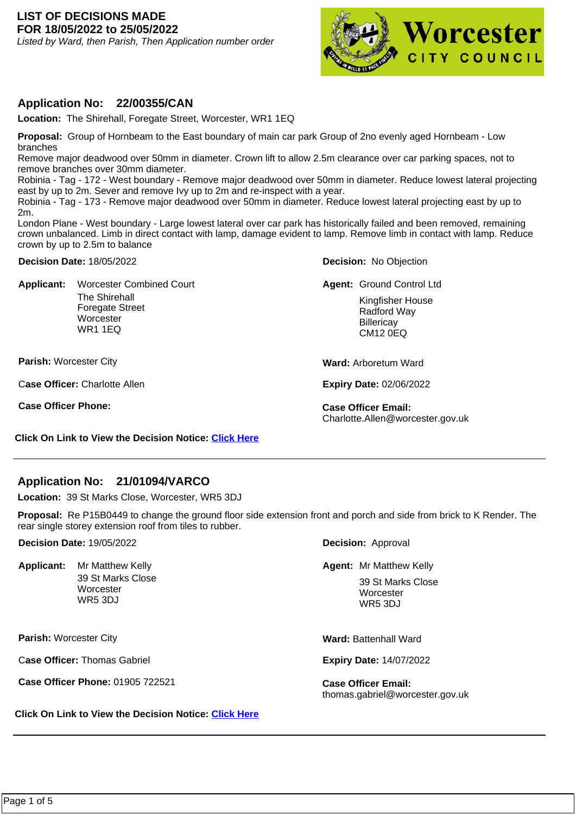### **LIST OF DECISIONS MADE FOR 18/05/2022 to 25/05/2022**

Listed by Ward, then Parish, Then Application number order



### **Application No: 22/00355/CAN**

**Location:** The Shirehall, Foregate Street, Worcester, WR1 1EQ

**Proposal:** Group of Hornbeam to the East boundary of main car park Group of 2no evenly aged Hornbeam - Low branches

Remove major deadwood over 50mm in diameter. Crown lift to allow 2.5m clearance over car parking spaces, not to remove branches over 30mm diameter.

Robinia - Tag - 172 - West boundary - Remove major deadwood over 50mm in diameter. Reduce lowest lateral projecting east by up to 2m. Sever and remove Ivy up to 2m and re-inspect with a year.

Robinia - Tag - 173 - Remove major deadwood over 50mm in diameter. Reduce lowest lateral projecting east by up to 2m.

London Plane - West boundary - Large lowest lateral over car park has historically failed and been removed, remaining crown unbalanced. Limb in direct contact with lamp, damage evident to lamp. Remove limb in contact with lamp. Reduce crown by up to 2.5m to balance

**Decision Date:** 18/05/2022

**Applicant:**  The Shirehall Foregate Street **Worcester** WR1 1EQ Worcester Combined Court **Group Control Control Control Ltd** 

**Parish:** Worcester City

C**ase Officer:** Charlotte Allen

**Case Officer Phone: Case Officer Email:** 

**Decision:** No Objection

Kingfisher House Radford Way **Billericay** CM12 0EQ

**Ward:** Arboretum Ward

**Expiry Date:** 02/06/2022

Charlotte.Allen@worcester.gov.uk

**Click On Link to View the Decision Notice: [Click Here](https://plan.worcester.gov.uk/Planning/Display/22/00355/CAN)**

## **Application No: 21/01094/VARCO**

**Location:** 39 St Marks Close, Worcester, WR5 3DJ

**Proposal:** Re P15B0449 to change the ground floor side extension front and porch and side from brick to K Render. The rear single storey extension roof from tiles to rubber.

**Decision Date:** 19/05/2022

Applicant: Mr Matthew Kelly 39 St Marks Close **Worcester** WR5 3DJ

**Parish:** Worcester City

C**ase Officer:** Thomas Gabriel

**Case Officer Phone:** 01905 722521 **Case Officer Email:** 

**Click On Link to View the Decision Notice: [Click Here](https://plan.worcester.gov.uk/Planning/Display/21/01094/VARCO)**

**Decision:** Approval

Mr Matthew Kelly **Mr Matthew Kelly Agent:** Mr Matthew Kelly

39 St Marks Close **Worcester** WR5 3DJ

**Ward:** Battenhall Ward

**Expiry Date:** 14/07/2022

thomas.gabriel@worcester.gov.uk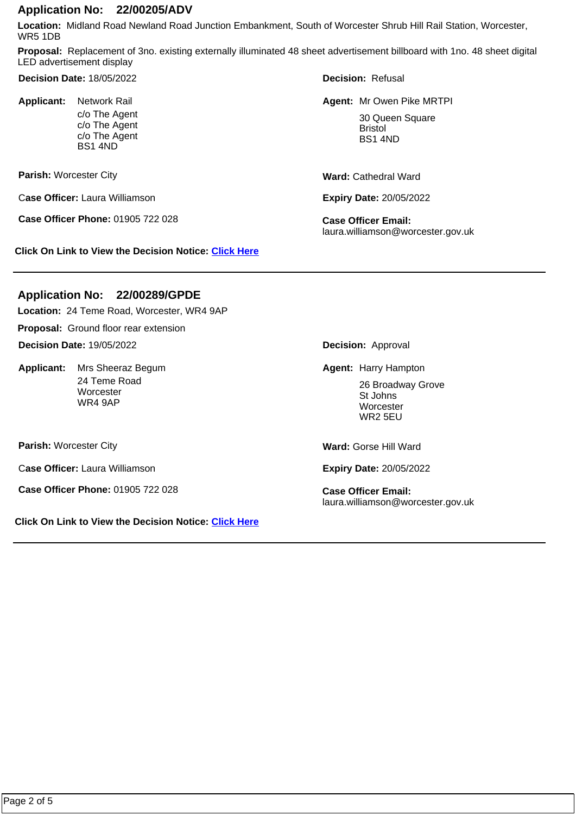### **Application No: 22/00205/ADV**

**Location:** Midland Road Newland Road Junction Embankment, South of Worcester Shrub Hill Rail Station, Worcester, WR5 1DB

**Proposal:** Replacement of 3no. existing externally illuminated 48 sheet advertisement billboard with 1no. 48 sheet digital LED advertisement display

**Decision Date:** 18/05/2022

Applicant: Network Rail c/o The Agent c/o The Agent c/o The Agent BS1 4ND

**Parish:** Worcester City

C**ase Officer:** Laura Williamson

**Case Officer Phone:** 01905 722 028 **Case Officer Email:** 

**Click On Link to View the Decision Notice: [Click Here](https://plan.worcester.gov.uk/Planning/Display/22/00205/ADV)**

**Decision:** Refusal

**Agent:** Network Rail Mr Owen Pike MRTPI 30 Queen Square Bristol BS1 4ND

**Ward:** Cathedral Ward

**Expiry Date:** 20/05/2022

laura.williamson@worcester.gov.uk

## **Application No: 22/00289/GPDE**

**Location:** 24 Teme Road, Worcester, WR4 9AP

**Proposal:** Ground floor rear extension

**Decision Date:** 19/05/2022

Applicant: Mrs Sheeraz Begum 24 Teme Road **Worcester** WR4 9AP

**Parish:** Worcester City

C**ase Officer:** Laura Williamson

**Case Officer Phone:** 01905 722 028 **Case Officer Email:** 

**Click On Link to View the Decision Notice: [Click Here](https://plan.worcester.gov.uk/Planning/Display/22/00289/GPDE)**

**Decision:** Approval

**Mrs Sheeraz Begum National State of Agent: Harry Hampton** 

26 Broadway Grove St Johns **Worcester** WR2 5EU

**Ward:** Gorse Hill Ward

**Expiry Date:** 20/05/2022

laura.williamson@worcester.gov.uk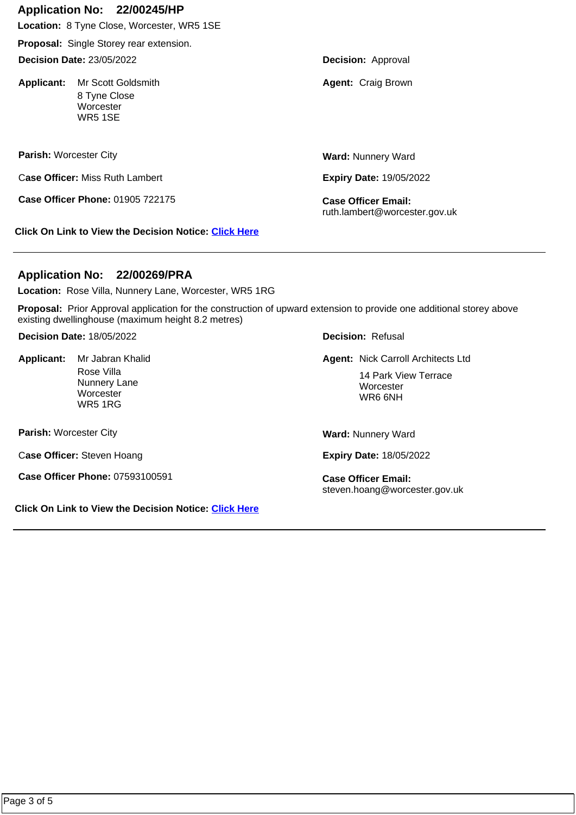# **Application No: 22/00245/HP**

**Location:** 8 Tyne Close, Worcester, WR5 1SE

**Proposal:** Single Storey rear extension.

**Decision Date:** 23/05/2022

Applicant: Mr Scott Goldsmith 8 Tyne Close **Worcester** WR5 1SE

**Parish:** Worcester City

C**ase Officer:** Miss Ruth Lambert

**Case Officer Phone:** 01905 722175 **Case Officer Email:** 

**Click On Link to View the Decision Notice: [Click Here](https://plan.worcester.gov.uk/Planning/Display/22/00245/HP)**

**Ward:** Nunnery Ward

**Expiry Date:** 19/05/2022

ruth.lambert@worcester.gov.uk

# **Application No: 22/00269/PRA**

**Location:** Rose Villa, Nunnery Lane, Worcester, WR5 1RG

**Proposal:** Prior Approval application for the construction of upward extension to provide one additional storey above existing dwellinghouse (maximum height 8.2 metres)

**Decision Date:** 18/05/2022

Applicant: Mr Jabran Khalid Rose Villa Nunnery Lane **Worcester** WR5 1RG

**Parish:** Worcester City

C**ase Officer:** Steven Hoang

**Case Officer Phone:** 07593100591 **Case Officer Email:** 

**Click On Link to View the Decision Notice: [Click Here](https://plan.worcester.gov.uk/Planning/Display/22/00269/PRA)**

**Decision:** Refusal

**Agent:** Mr Jabran Khalid Nick Carroll Architects Ltd

14 Park View Terrace **Worcester** WR6 6NH

**Ward:** Nunnery Ward

**Expiry Date:** 18/05/2022

steven.hoang@worcester.gov.uk

**Decision:** Approval

**Agent: Craig Brown**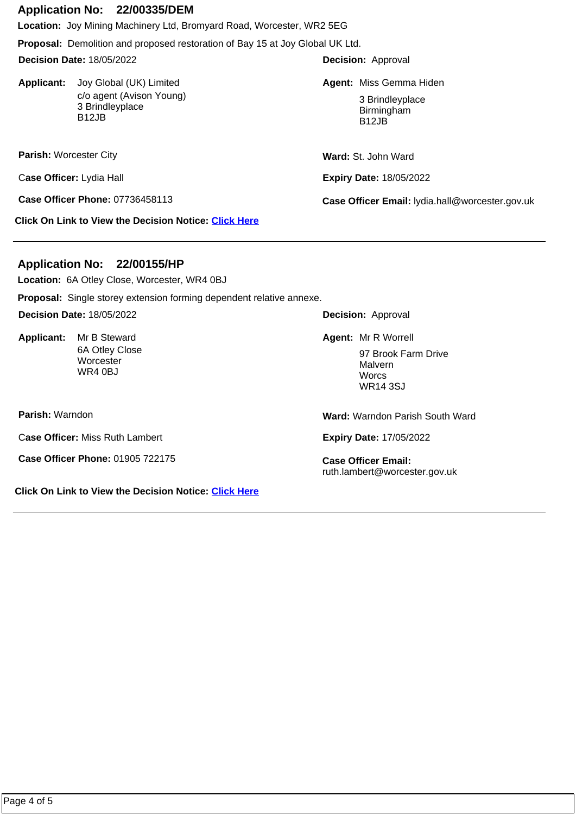### **Application No: 22/00335/DEM**

**Location:** Joy Mining Machinery Ltd, Bromyard Road, Worcester, WR2 5EG

**Proposal:** Demolition and proposed restoration of Bay 15 at Joy Global UK Ltd.

**Decision Date:** 18/05/2022

**Applicant:**  c/o agent (Avison Young) 3 Brindleyplace B12JB

**Parish:** Worcester City

C**ase Officer:** Lydia Hall

**Click On Link to View the Decision Notice: [Click Here](https://plan.worcester.gov.uk/Planning/Display/22/00335/DEM)**

# **Application No: 22/00155/HP**

**Location:** 6A Otley Close, Worcester, WR4 0BJ

**Proposal:** Single storey extension forming dependent relative annexe.

**Decision Date:** 18/05/2022

Applicant: Mr B Steward 6A Otley Close **Worcester** WR4 0BJ

**Parish:** Warndon

C**ase Officer:** Miss Ruth Lambert

**Case Officer Phone:** 01905 722175 **Case Officer Email:** 

**Click On Link to View the Decision Notice: [Click Here](https://plan.worcester.gov.uk/Planning/Display/22/00155/HP)**

**Decision:** Approval

Joy Global (UK) Limited **Miss Agent: Miss Gemma Hiden** 

3 Brindleyplace Birmingham B12JB

**Ward:** St. John Ward

**Expiry Date:** 18/05/2022

**Case Officer Phone:** 07736458113 **Case Officer Email:** lydia.hall@worcester.gov.uk

**Decision:** Approval

Mr B Steward **Mr B Steward Agent:** Mr R Worrell 97 Brook Farm Drive Malvern **Worcs** WR14 3SJ

**Ward:** Warndon Parish South Ward

**Expiry Date:** 17/05/2022

ruth.lambert@worcester.gov.uk